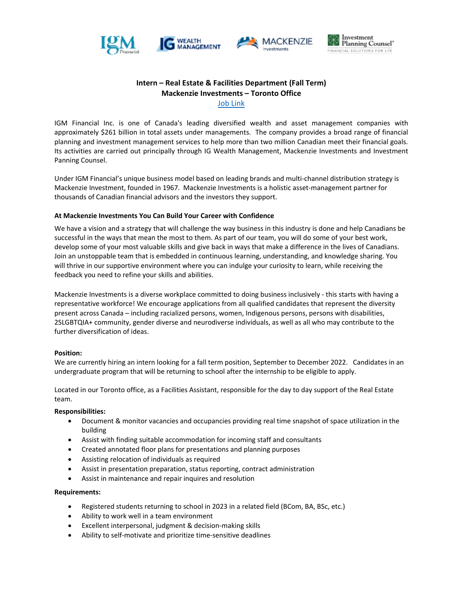





# **Intern – Real Estate & Facilities Department (Fall Term) Mackenzie Investments – Toronto Office** [Job Link](https://careersen-mackenzieinvestments.icims.com/jobs/4308/intern---real-estate-%28fall-2022%29/job?mode=view)

IGM Financial Inc. is one of Canada's leading diversified wealth and asset management companies with approximately \$261 billion in total assets under managements. The company provides a broad range of financial planning and investment management services to help more than two million Canadian meet their financial goals. Its activities are carried out principally through IG Wealth Management, Mackenzie Investments and Investment Panning Counsel.

Under IGM Financial's unique business model based on leading brands and multi-channel distribution strategy is Mackenzie Investment, founded in 1967. Mackenzie Investments is a holistic asset-management partner for thousands of Canadian financial advisors and the investors they support.

## **At Mackenzie Investments You Can Build Your Career with Confidence**

We have a vision and a strategy that will challenge the way business in this industry is done and help Canadians be successful in the ways that mean the most to them. As part of our team, you will do some of your best work, develop some of your most valuable skills and give back in ways that make a difference in the lives of Canadians. Join an unstoppable team that is embedded in continuous learning, understanding, and knowledge sharing. You will thrive in our supportive environment where you can indulge your curiosity to learn, while receiving the feedback you need to refine your skills and abilities.

Mackenzie Investments is a diverse workplace committed to doing business inclusively - this starts with having a representative workforce! We encourage applications from all qualified candidates that represent the diversity present across Canada – including racialized persons, women, Indigenous persons, persons with disabilities, 2SLGBTQIA+ community, gender diverse and neurodiverse individuals, as well as all who may contribute to the further diversification of ideas.

#### **Position:**

We are currently hiring an intern looking for a fall term position, September to December 2022. Candidates in an undergraduate program that will be returning to school after the internship to be eligible to apply.

Located in our Toronto office, as a Facilities Assistant, responsible for the day to day support of the Real Estate team.

#### **Responsibilities:**

- Document & monitor vacancies and occupancies providing real time snapshot of space utilization in the building
- Assist with finding suitable accommodation for incoming staff and consultants
- Created annotated floor plans for presentations and planning purposes
- Assisting relocation of individuals as required
- Assist in presentation preparation, status reporting, contract administration
- Assist in maintenance and repair inquires and resolution

#### **Requirements:**

- Registered students returning to school in 2023 in a related field (BCom, BA, BSc, etc.)
- Ability to work well in a team environment
- Excellent interpersonal, judgment & decision-making skills
- Ability to self-motivate and prioritize time-sensitive deadlines